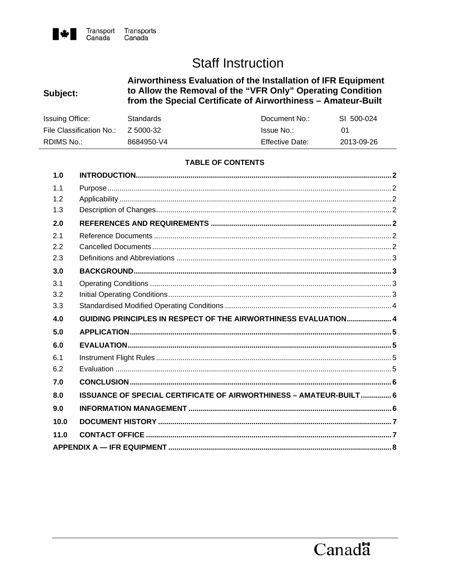

# **Staff Instruction**

## Airworthiness Evaluation of the Installation of IFR Equipment<br>to Allow the Removal of the "VFR Only" Operating Condition Subject: from the Special Certificate of Airworthiness - Amateur-Built

| <b>Issuing Office:</b>   | Standards  | Document No.:     | SI 500-024 |
|--------------------------|------------|-------------------|------------|
| File Classification No.: | Z 5000-32  | <b>Issue No.:</b> |            |
| RDIMS No.:               | 8684950-V4 | Effective Date:   | 2013-09-26 |

## **TABLE OF CONTENTS**

| 1.0  |                                                                    |  |
|------|--------------------------------------------------------------------|--|
| 1.1  |                                                                    |  |
| 1.2  |                                                                    |  |
| 1.3  |                                                                    |  |
| 2.0  |                                                                    |  |
| 2.1  |                                                                    |  |
| 2.2  |                                                                    |  |
| 2.3  |                                                                    |  |
| 3.0  |                                                                    |  |
| 3.1  |                                                                    |  |
| 3.2  |                                                                    |  |
| 3.3  |                                                                    |  |
|      |                                                                    |  |
| 4.0  | GUIDING PRINCIPLES IN RESPECT OF THE AIRWORTHINESS EVALUATION 4    |  |
| 5.0  |                                                                    |  |
| 6.0  |                                                                    |  |
| 6.1  |                                                                    |  |
| 6.2  |                                                                    |  |
| 7.0  |                                                                    |  |
| 8.0  | ISSUANCE OF SPECIAL CERTIFICATE OF AIRWORTHINESS - AMATEUR-BUILT 6 |  |
| 9.0  |                                                                    |  |
| 10.0 |                                                                    |  |
| 11.0 |                                                                    |  |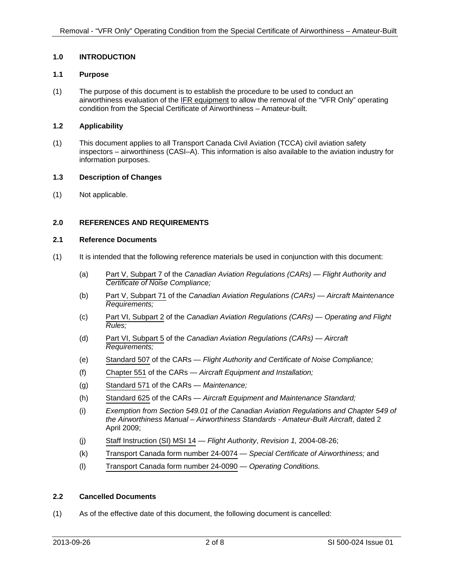## <span id="page-1-0"></span>**1.0 INTRODUCTION**

### **1.1 Purpose**

(1) The purpose of this document is to establish the procedure to be used to conduct an airworthiness evaluation of the [IFR equipment](#page-7-0) to allow the removal of the "VFR Only" operating condition from the Special Certificate of Airworthiness – Amateur-built.

## **1.2 Applicability**

(1) This document applies to all Transport Canada Civil Aviation (TCCA) civil aviation safety inspectors – airworthiness (CASI–A). This information is also available to the aviation industry for information purposes.

#### **1.3 Description of Changes**

(1) Not applicable.

## **2.0 REFERENCES AND REQUIREMENTS**

## **2.1 Reference Documents**

- (1) It is intended that the following reference materials be used in conjunction with this document:
	- (a) Part V, Subpart 7 of the *Canadian Aviation Regulations (CARs) Flight Authority and Certificate of Noise Compliance;*
	- (b) Part V, Subpart 71 of the *Canadian Aviation Regulations (CARs) Aircraft Maintenance Requirements;*
	- (c) Part VI, Subpart 2 of the *Canadian Aviation Regulations (CARs) Operating and Flight Rules;*
	- (d) Part VI, Subpart 5 of the *Canadian Aviation Regulations (CARs) Aircraft Requirements;*
	- (e) Standard 507 of the CARs *Flight Authority and Certificate of Noise Compliance;*
	- (f) Chapter 551 of the CARs *Aircraft Equipment and Installation;*
	- (g) Standard 571 of the CARs *Maintenance;*
	- (h) Standard 625 of the CARs *Aircraft Equipment and Maintenance Standard;*
	- (i) *Exemption from Section 549.01 of the Canadian Aviation Regulations and Chapter 549 of the Airworthiness Manual – Airworthiness Standards - Amateur-Built Aircraft*, dated 2 April 2009;
	- (j) Staff Instruction (SI) MSI 14 *Flight Authority*, *Revision 1,* 2004-08-26;
	- (k) Transport Canada form number 24-0074 *Special Certificate of Airworthiness;* and
	- (l) Transport Canada form number 24-0090 *Operating Conditions.*

### **2.2 Cancelled Documents**

(1) As of the effective date of this document, the following document is cancelled: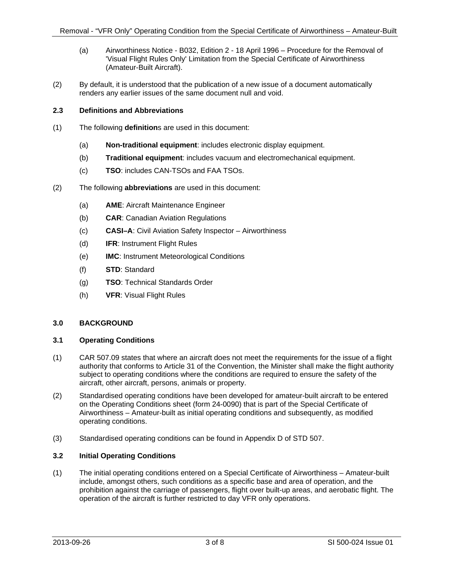- <span id="page-2-0"></span>(a) Airworthiness Notice - B032, Edition 2 - 18 April 1996 – Procedure for the Removal of 'Visual Flight Rules Only' Limitation from the Special Certificate of Airworthiness (Amateur-Built Aircraft).
- (2) By default, it is understood that the publication of a new issue of a document automatically renders any earlier issues of the same document null and void.

## **2.3 Definitions and Abbreviations**

- (1) The following **definition**s are used in this document:
	- (a) **Non-traditional equipment**: includes electronic display equipment.
	- (b) **Traditional equipment**: includes vacuum and electromechanical equipment.
	- (c) **TSO**: includes CAN-TSOs and FAA TSOs.
- (2) The following **abbreviations** are used in this document:
	- (a) **AME**: Aircraft Maintenance Engineer
	- (b) **CAR**: Canadian Aviation Regulations
	- (c) **CASI–A**: Civil Aviation Safety Inspector Airworthiness
	- (d) **IFR**: Instrument Flight Rules
	- (e) **IMC**: Instrument Meteorological Conditions
	- (f) **STD**: Standard
	- (g) **TSO**: Technical Standards Order
	- (h) **VFR**: Visual Flight Rules

#### **3.0 BACKGROUND**

## **3.1 Operating Conditions**

- (1) CAR 507.09 states that where an aircraft does not meet the requirements for the issue of a flight authority that conforms to Article 31 of the Convention, the Minister shall make the flight authority subject to operating conditions where the conditions are required to ensure the safety of the aircraft, other aircraft, persons, animals or property.
- (2) Standardised operating conditions have been developed for amateur-built aircraft to be entered on the Operating Conditions sheet (form 24-0090) that is part of the Special Certificate of Airworthiness – Amateur-built as initial operating conditions and subsequently, as modified operating conditions.
- (3) Standardised operating conditions can be found in Appendix D of STD 507.

#### **3.2 Initial Operating Conditions**

(1) The initial operating conditions entered on a Special Certificate of Airworthiness – Amateur-built include, amongst others, such conditions as a specific base and area of operation, and the prohibition against the carriage of passengers, flight over built-up areas, and aerobatic flight. The operation of the aircraft is further restricted to day VFR only operations.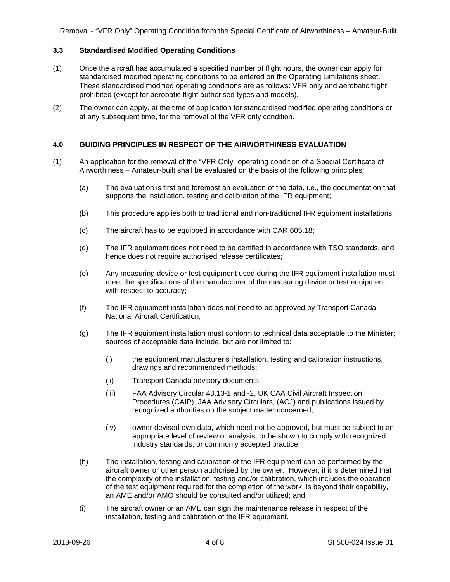## <span id="page-3-0"></span>**3.3 Standardised Modified Operating Conditions**

- (1) Once the aircraft has accumulated a specified number of flight hours, the owner can apply for standardised modified operating conditions to be entered on the Operating Limitations sheet. These standardised modified operating conditions are as follows: VFR only and aerobatic flight prohibited (except for aerobatic flight authorised types and models).
- (2) The owner can apply, at the time of application for standardised modified operating conditions or at any subsequent time, for the removal of the VFR only condition.

## **4.0 GUIDING PRINCIPLES IN RESPECT OF THE AIRWORTHINESS EVALUATION**

- (1) An application for the removal of the "VFR Only" operating condition of a Special Certificate of Airworthiness – Amateur-built shall be evaluated on the basis of the following principles:
	- (a) The evaluation is first and foremost an evaluation of the data, i.e., the documentation that supports the installation, testing and calibration of the IFR equipment;
	- (b) This procedure applies both to traditional and non-traditional IFR equipment installations;
	- (c) The aircraft has to be equipped in accordance with CAR 605.18;
	- (d) The IFR equipment does not need to be certified in accordance with TSO standards, and hence does not require authorised release certificates;
	- (e) Any measuring device or test equipment used during the IFR equipment installation must meet the specifications of the manufacturer of the measuring device or test equipment with respect to accuracy;
	- (f) The IFR equipment installation does not need to be approved by Transport Canada National Aircraft Certification;
	- (g) The IFR equipment installation must conform to technical data acceptable to the Minister; sources of acceptable data include, but are not limited to:
		- (i) the equipment manufacturer's installation, testing and calibration instructions, drawings and recommended methods;
		- (ii) Transport Canada advisory documents;
		- (iii) FAA Advisory Circular 43.13-1 and -2, UK CAA Civil Aircraft Inspection Procedures (CAIP), JAA Advisory Circulars, (ACJ) and publications issued by recognized authorities on the subject matter concerned;
		- (iv) owner devised own data, which need not be approved, but must be subject to an appropriate level of review or analysis, or be shown to comply with recognized industry standards, or commonly accepted practice;
	- (h) The installation, testing and calibration of the IFR equipment can be performed by the aircraft owner or other person authorised by the owner. However, if it is determined that the complexity of the installation, testing and/or calibration, which includes the operation of the test equipment required for the completion of the work, is beyond their capability, an AME and/or AMO should be consulted and/or utilized; and
	- (i) The aircraft owner or an AME can sign the maintenance release in respect of the installation, testing and calibration of the IFR equipment.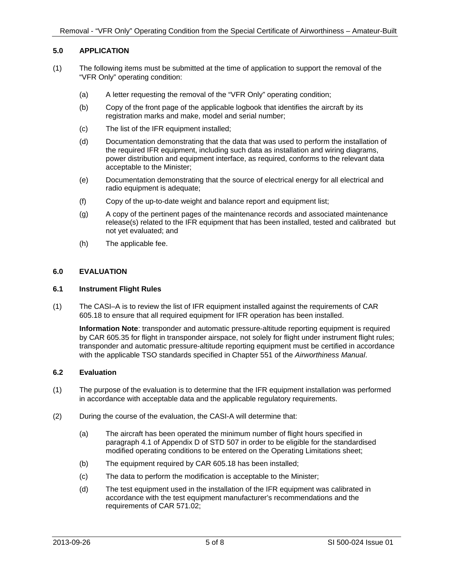## <span id="page-4-0"></span>**5.0 APPLICATION**

- (1) The following items must be submitted at the time of application to support the removal of the "VFR Only" operating condition:
	- (a) A letter requesting the removal of the "VFR Only" operating condition;
	- (b) Copy of the front page of the applicable logbook that identifies the aircraft by its registration marks and make, model and serial number;
	- (c) The list of the IFR equipment installed;
	- (d) Documentation demonstrating that the data that was used to perform the installation of the required IFR equipment, including such data as installation and wiring diagrams, power distribution and equipment interface, as required, conforms to the relevant data acceptable to the Minister;
	- (e) Documentation demonstrating that the source of electrical energy for all electrical and radio equipment is adequate;
	- (f) Copy of the up-to-date weight and balance report and equipment list;
	- (g) A copy of the pertinent pages of the maintenance records and associated maintenance release(s) related to the IFR equipment that has been installed, tested and calibrated but not yet evaluated; and
	- (h) The applicable fee.

## **6.0 EVALUATION**

#### **6.1 Instrument Flight Rules**

(1) The CASI–A is to review the list of IFR equipment installed against the requirements of CAR 605.18 to ensure that all required equipment for IFR operation has been installed.

**Information Note**: transponder and automatic pressure-altitude reporting equipment is required by CAR 605.35 for flight in transponder airspace, not solely for flight under instrument flight rules; transponder and automatic pressure-altitude reporting equipment must be certified in accordance with the applicable TSO standards specified in Chapter 551 of the *Airworthiness Manual*.

#### **6.2 Evaluation**

- (1) The purpose of the evaluation is to determine that the IFR equipment installation was performed in accordance with acceptable data and the applicable regulatory requirements.
- (2) During the course of the evaluation, the CASI-A will determine that:
	- (a) The aircraft has been operated the minimum number of flight hours specified in paragraph 4.1 of Appendix D of STD 507 in order to be eligible for the standardised modified operating conditions to be entered on the Operating Limitations sheet;
	- (b) The equipment required by CAR 605.18 has been installed;
	- (c) The data to perform the modification is acceptable to the Minister;
	- (d) The test equipment used in the installation of the IFR equipment was calibrated in accordance with the test equipment manufacturer's recommendations and the requirements of CAR 571.02;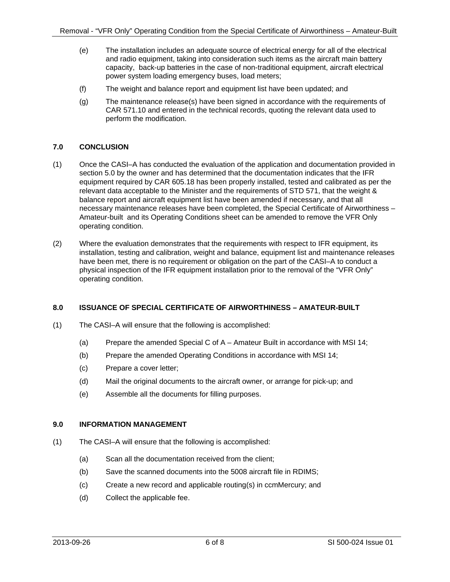- <span id="page-5-0"></span>(e) The installation includes an adequate source of electrical energy for all of the electrical and radio equipment, taking into consideration such items as the aircraft main battery capacity, back-up batteries in the case of non-traditional equipment, aircraft electrical power system loading emergency buses, load meters;
- (f) The weight and balance report and equipment list have been updated; and
- (g) The maintenance release(s) have been signed in accordance with the requirements of CAR 571.10 and entered in the technical records, quoting the relevant data used to perform the modification.

## **7.0 CONCLUSION**

- (1) Once the CASI–A has conducted the evaluation of the application and documentation provided in section 5.0 by the owner and has determined that the documentation indicates that the IFR equipment required by CAR 605.18 has been properly installed, tested and calibrated as per the relevant data acceptable to the Minister and the requirements of STD 571, that the weight & balance report and aircraft equipment list have been amended if necessary, and that all necessary maintenance releases have been completed, the Special Certificate of Airworthiness – Amateur-built and its Operating Conditions sheet can be amended to remove the VFR Only operating condition.
- (2) Where the evaluation demonstrates that the requirements with respect to IFR equipment, its installation, testing and calibration, weight and balance, equipment list and maintenance releases have been met, there is no requirement or obligation on the part of the CASI–A to conduct a physical inspection of the IFR equipment installation prior to the removal of the "VFR Only" operating condition.

## **8.0 ISSUANCE OF SPECIAL CERTIFICATE OF AIRWORTHINESS – AMATEUR-BUILT**

- (1) The CASI–A will ensure that the following is accomplished:
	- (a) Prepare the amended Special C of A Amateur Built in accordance with MSI 14;
	- (b) Prepare the amended Operating Conditions in accordance with MSI 14;
	- (c) Prepare a cover letter;
	- (d) Mail the original documents to the aircraft owner, or arrange for pick-up; and
	- (e) Assemble all the documents for filling purposes.

## **9.0 INFORMATION MANAGEMENT**

- (1) The CASI–A will ensure that the following is accomplished:
	- (a) Scan all the documentation received from the client;
	- (b) Save the scanned documents into the 5008 aircraft file in RDIMS;
	- (c) Create a new record and applicable routing(s) in ccmMercury; and
	- (d) Collect the applicable fee.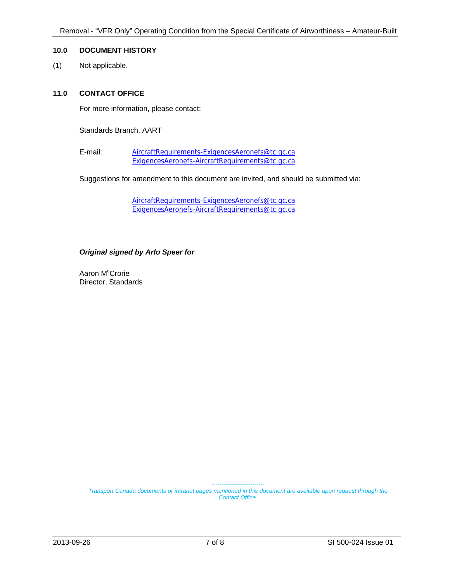## <span id="page-6-0"></span>**10.0 DOCUMENT HISTORY**

(1) Not applicable.

#### **11.0 CONTACT OFFICE**

For more information, please contact:

Standards Branch, AART

E-mail: [AircraftRequirements-ExigencesAeronefs@tc.gc.ca](mailto:AircraftRequirements-ExigencesAeronefs@tc.gc.ca) [ExigencesAeronefs-AircraftRequirements@tc.gc.ca](mailto:ExigencesAeronefs-AircraftRequirements@tc.gc.ca)

Suggestions for amendment to this document are invited, and should be submitted via:

[AircraftRequirements-ExigencesAeronefs@tc.gc.ca](mailto:AircraftRequirements-ExigencesAeronefs@tc.gc.ca) [ExigencesAeronefs-AircraftRequirements@tc.gc.ca](mailto:ExigencesAeronefs-AircraftRequirements@tc.gc.ca)

## *Original signed by Arlo Speer for*

Aaron M<sup>c</sup>Crorie Director, Standards

> *--------------------------- Transport Canada documents or intranet pages mentioned in this document are available upon request through the Contact Office.*